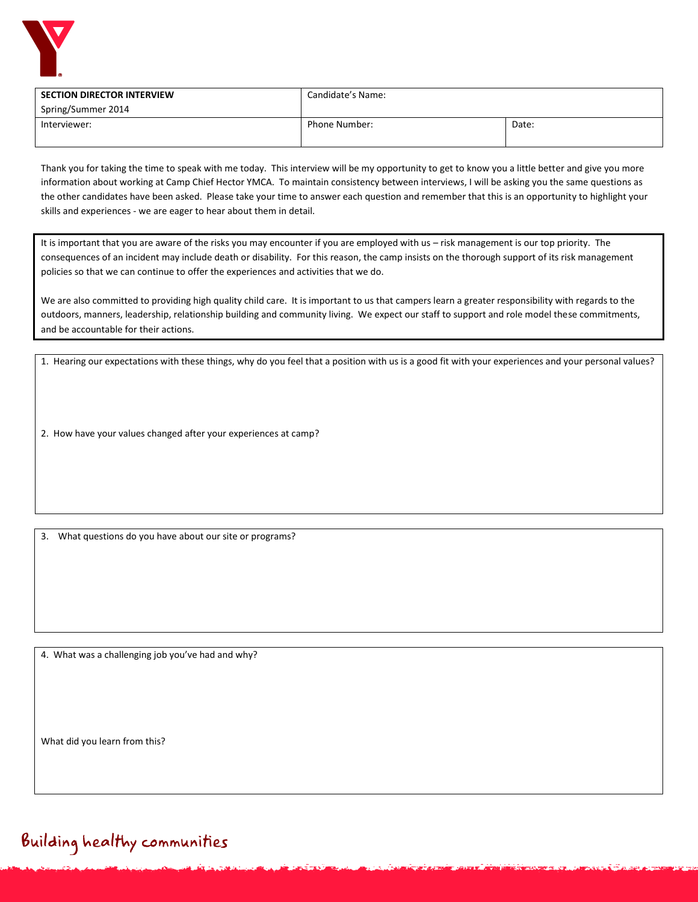

| <b>SECTION DIRECTOR INTERVIEW</b> | Candidate's Name:    |       |
|-----------------------------------|----------------------|-------|
| Spring/Summer 2014                |                      |       |
| Interviewer:                      | <b>Phone Number:</b> | Date: |
|                                   |                      |       |

Thank you for taking the time to speak with me today. This interview will be my opportunity to get to know you a little better and give you more information about working at Camp Chief Hector YMCA. To maintain consistency between interviews, I will be asking you the same questions as the other candidates have been asked. Please take your time to answer each question and remember that this is an opportunity to highlight your skills and experiences - we are eager to hear about them in detail.

It is important that you are aware of the risks you may encounter if you are employed with us – risk management is our top priority. The consequences of an incident may include death or disability. For this reason, the camp insists on the thorough support of its risk management policies so that we can continue to offer the experiences and activities that we do.

We are also committed to providing high quality child care. It is important to us that campers learn a greater responsibility with regards to the outdoors, manners, leadership, relationship building and community living. We expect our staff to support and role model these commitments, and be accountable for their actions.

1. Hearing our expectations with these things, why do you feel that a position with us is a good fit with your experiences and your personal values?

2. How have your values changed after your experiences at camp?

3. What questions do you have about our site or programs?

4. What was a challenging job you've had and why?

What did you learn from this?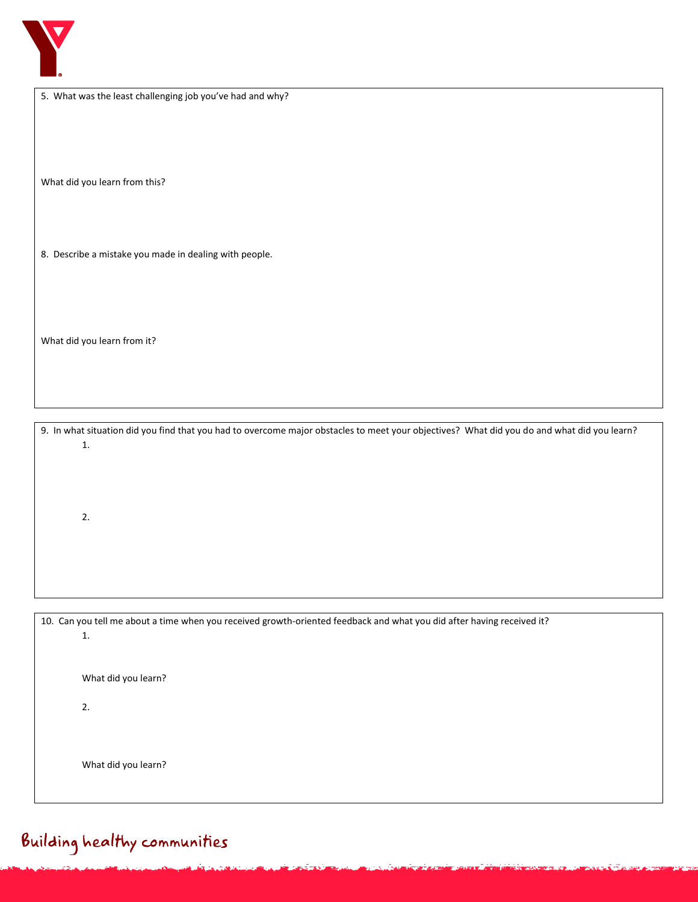

|  |  | 5. What was the least challenging job you've had and why? |  |  |
|--|--|-----------------------------------------------------------|--|--|
|--|--|-----------------------------------------------------------|--|--|

What did you learn from this?

8. Describe a mistake you made in dealing with people.

What did you learn from it?

9. In what situation did you find that you had to overcome major obstacles to meet your objectives? What did you do and what did you learn? 1.

2.

| 10. Can you tell me about a time when you received growth-oriented feedback and what you did after having received it? |                     |  |  |
|------------------------------------------------------------------------------------------------------------------------|---------------------|--|--|
|                                                                                                                        | 1.                  |  |  |
|                                                                                                                        |                     |  |  |
|                                                                                                                        |                     |  |  |
|                                                                                                                        | What did you learn? |  |  |
|                                                                                                                        |                     |  |  |
|                                                                                                                        | 2.                  |  |  |
|                                                                                                                        |                     |  |  |
|                                                                                                                        |                     |  |  |
|                                                                                                                        |                     |  |  |
|                                                                                                                        | What did you learn? |  |  |
|                                                                                                                        |                     |  |  |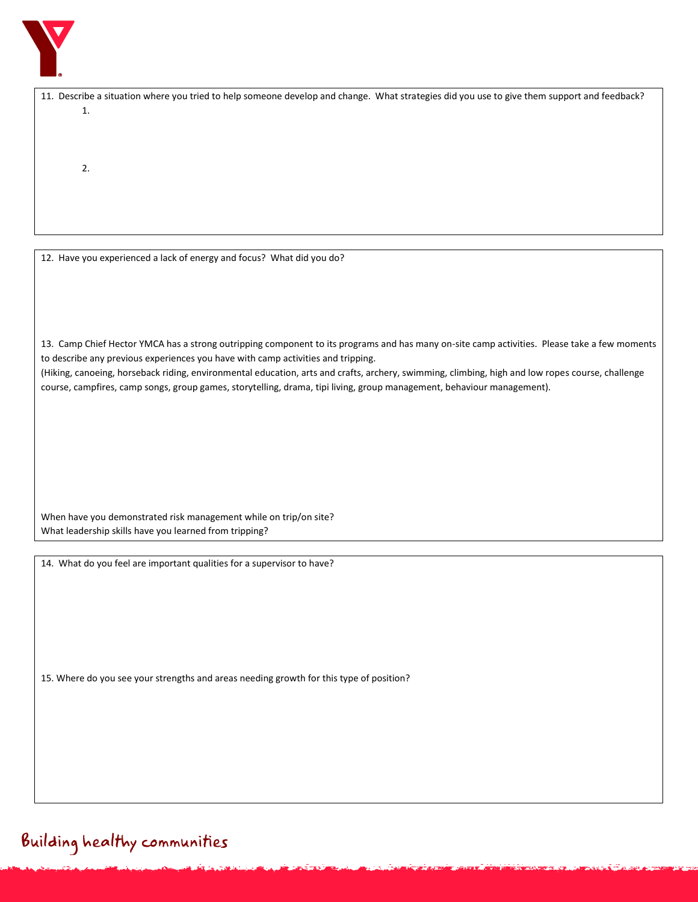

| 1.                                                                                                                                               |
|--------------------------------------------------------------------------------------------------------------------------------------------------|
|                                                                                                                                                  |
|                                                                                                                                                  |
|                                                                                                                                                  |
| 2.                                                                                                                                               |
|                                                                                                                                                  |
|                                                                                                                                                  |
|                                                                                                                                                  |
|                                                                                                                                                  |
|                                                                                                                                                  |
|                                                                                                                                                  |
| 12. Have you experienced a lack of energy and focus? What did you do?                                                                            |
|                                                                                                                                                  |
|                                                                                                                                                  |
|                                                                                                                                                  |
|                                                                                                                                                  |
|                                                                                                                                                  |
|                                                                                                                                                  |
| 13. Camp Chief Hector YMCA has a strong outripping component to its programs and has many on-site camp activities. Please take a few moments     |
| to describe any previous experiences you have with camp activities and tripping.                                                                 |
| (Hiking, canoeing, horseback riding, environmental education, arts and crafts, archery, swimming, climbing, high and low ropes course, challenge |
| course, campfires, camp songs, group games, storytelling, drama, tipi living, group management, behaviour management).                           |
|                                                                                                                                                  |
|                                                                                                                                                  |
|                                                                                                                                                  |
|                                                                                                                                                  |
|                                                                                                                                                  |
|                                                                                                                                                  |
|                                                                                                                                                  |
|                                                                                                                                                  |
|                                                                                                                                                  |
| When have you demonstrated risk management while on trip/on site?                                                                                |
|                                                                                                                                                  |
| What leadership skills have you learned from tripping?                                                                                           |
|                                                                                                                                                  |
| 14. What do you feel are important qualities for a supervisor to have?                                                                           |
|                                                                                                                                                  |
|                                                                                                                                                  |
|                                                                                                                                                  |
|                                                                                                                                                  |
|                                                                                                                                                  |
|                                                                                                                                                  |
|                                                                                                                                                  |
|                                                                                                                                                  |
| 15. Where do you see your strengths and areas needing growth for this type of position?                                                          |
|                                                                                                                                                  |
|                                                                                                                                                  |
|                                                                                                                                                  |
|                                                                                                                                                  |
|                                                                                                                                                  |
|                                                                                                                                                  |

11. Describe a situation where you tried to help someone develop and change. What strategies did you use to give them support and feedback?